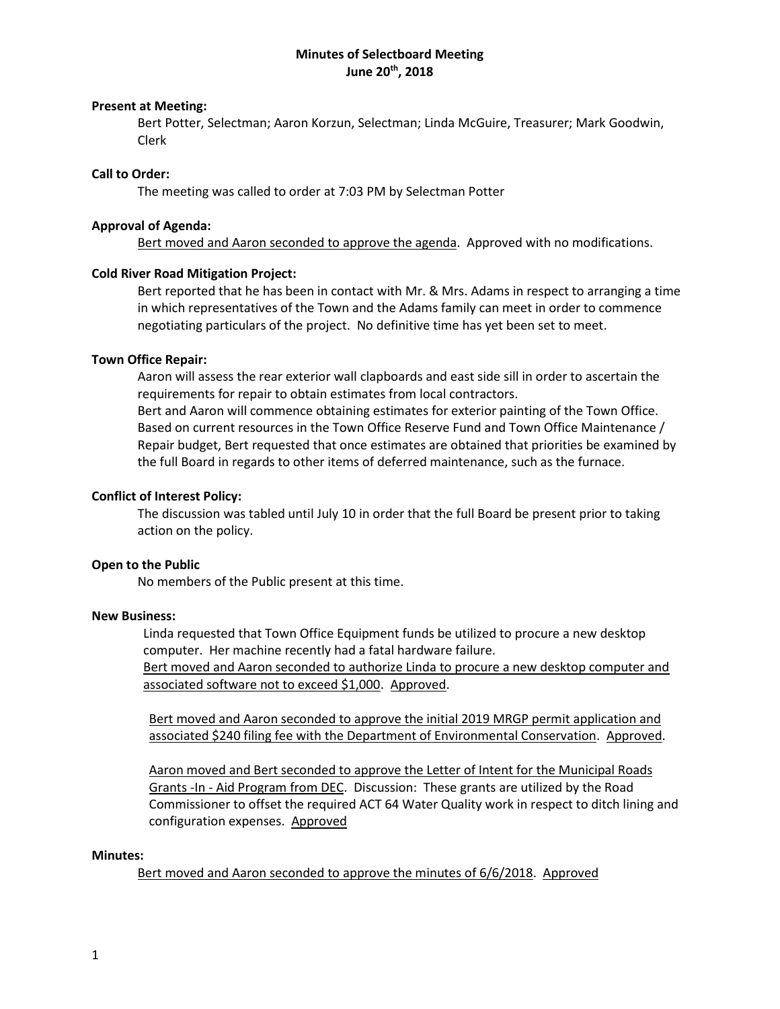# **Minutes of Selectboard Meeting June 20th, 2018**

## **Present at Meeting:**

Bert Potter, Selectman; Aaron Korzun, Selectman; Linda McGuire, Treasurer; Mark Goodwin, Clerk

#### **Call to Order:**

The meeting was called to order at 7:03 PM by Selectman Potter

## **Approval of Agenda:**

Bert moved and Aaron seconded to approve the agenda. Approved with no modifications.

## **Cold River Road Mitigation Project:**

Bert reported that he has been in contact with Mr. & Mrs. Adams in respect to arranging a time in which representatives of the Town and the Adams family can meet in order to commence negotiating particulars of the project. No definitive time has yet been set to meet.

## **Town Office Repair:**

Aaron will assess the rear exterior wall clapboards and east side sill in order to ascertain the requirements for repair to obtain estimates from local contractors.

Bert and Aaron will commence obtaining estimates for exterior painting of the Town Office. Based on current resources in the Town Office Reserve Fund and Town Office Maintenance / Repair budget, Bert requested that once estimates are obtained that priorities be examined by the full Board in regards to other items of deferred maintenance, such as the furnace.

## **Conflict of Interest Policy:**

The discussion was tabled until July 10 in order that the full Board be present prior to taking action on the policy.

# **Open to the Public**

No members of the Public present at this time.

#### **New Business:**

Linda requested that Town Office Equipment funds be utilized to procure a new desktop computer. Her machine recently had a fatal hardware failure. Bert moved and Aaron seconded to authorize Linda to procure a new desktop computer and associated software not to exceed \$1,000. Approved.

Bert moved and Aaron seconded to approve the initial 2019 MRGP permit application and associated \$240 filing fee with the Department of Environmental Conservation. Approved.

Aaron moved and Bert seconded to approve the Letter of Intent for the Municipal Roads Grants -In - Aid Program from DEC. Discussion: These grants are utilized by the Road Commissioner to offset the required ACT 64 Water Quality work in respect to ditch lining and configuration expenses. Approved

#### **Minutes:**

Bert moved and Aaron seconded to approve the minutes of 6/6/2018. Approved